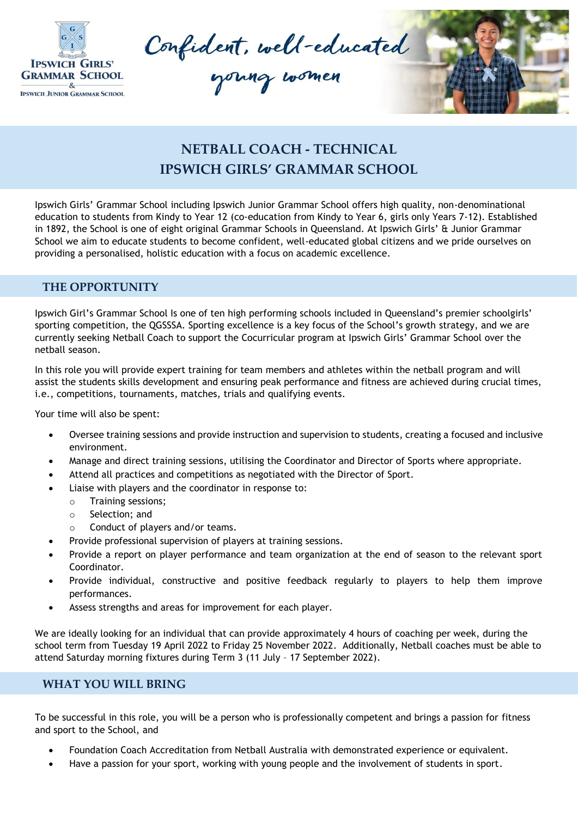

Confident, well-educated



## **NETBALL COACH - TECHNICAL IPSWICH GIRLS' GRAMMAR SCHOOL**

Ipswich Girls' Grammar School including Ipswich Junior Grammar School offers high quality, non-denominational education to students from Kindy to Year 12 (co-education from Kindy to Year 6, girls only Years 7-12). Established in 1892, the School is one of eight original Grammar Schools in Queensland. At Ipswich Girls' & Junior Grammar School we aim to educate students to become confident, well-educated global citizens and we pride ourselves on providing a personalised, holistic education with a focus on academic excellence.

## **THE OPPORTUNITY**

Ipswich Girl's Grammar School Is one of ten high performing schools included in Queensland's premier schoolgirls' sporting competition, the QGSSSA. Sporting excellence is a key focus of the School's growth strategy, and we are currently seeking Netball Coach to support the Cocurricular program at Ipswich Girls' Grammar School over the netball season.

In this role you will provide expert training for team members and athletes within the netball program and will assist the students skills development and ensuring peak performance and fitness are achieved during crucial times, i.e., competitions, tournaments, matches, trials and qualifying events.

Your time will also be spent:

- Oversee training sessions and provide instruction and supervision to students, creating a focused and inclusive environment.
- Manage and direct training sessions, utilising the Coordinator and Director of Sports where appropriate.
- Attend all practices and competitions as negotiated with the Director of Sport.
- Liaise with players and the coordinator in response to:
	- o Training sessions;
	- o Selection; and
	- o Conduct of players and/or teams.
	- Provide professional supervision of players at training sessions.
- Provide a report on player performance and team organization at the end of season to the relevant sport Coordinator.
- Provide individual, constructive and positive feedback regularly to players to help them improve performances.
- Assess strengths and areas for improvement for each player.

We are ideally looking for an individual that can provide approximately 4 hours of coaching per week, during the school term from Tuesday 19 April 2022 to Friday 25 November 2022. Additionally, Netball coaches must be able to attend Saturday morning fixtures during Term 3 (11 July – 17 September 2022).

## **WHAT YOU WILL BRING**

To be successful in this role, you will be a person who is professionally competent and brings a passion for fitness and sport to the School, and

- Foundation Coach Accreditation from Netball Australia with demonstrated experience or equivalent.
- Have a passion for your sport, working with young people and the involvement of students in sport.